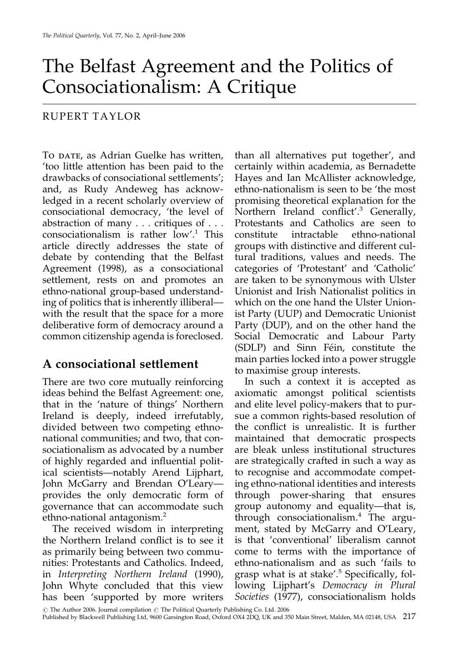# The Belfast Agreement and the Politics of Consociationalism: A Critique

#### RUPERT TAYLOR

To DATE, as Adrian Guelke has written, 'too little attention has been paid to the drawbacks of consociational settlements'; and, as Rudy Andeweg has acknowledged in a recent scholarly overview of consociational democracy, 'the level of abstraction of many  $\ldots$  critiques of  $\ldots$ consociationalism is rather low'.<sup>1</sup> This article directly addresses the state of debate by contending that the Belfast Agreement (1998), as a consociational settlement, rests on and promotes an ethno-national group-based understanding of politics that is inherently illiberal with the result that the space for a more deliberative form of democracy around a common citizenship agenda is foreclosed.

#### A consociational settlement

There are two core mutually reinforcing ideas behind the Belfast Agreement: one, that in the 'nature of things' Northern Ireland is deeply, indeed irrefutably, divided between two competing ethnonational communities; and two, that consociationalism as advocated by a number of highly regarded and influential political scientists—notably Arend Lijphart, John McGarry and Brendan O'Learyprovides the only democratic form of governance that can accommodate such ethno-national antagonism.<sup>2</sup>

The received wisdom in interpreting the Northern Ireland conflict is to see it as primarily being between two communities: Protestants and Catholics. Indeed, in Interpreting Northern Ireland (1990), John Whyte concluded that this view has been 'supported by more writers

than all alternatives put together', and certainly within academia, as Bernadette Hayes and Ian McAllister acknowledge, ethno-nationalism is seen to be 'the most promising theoretical explanation for the Northern Ireland conflict'.<sup>3</sup> Generally, Protestants and Catholics are seen to constitute intractable ethno-national groups with distinctive and different cultural traditions, values and needs. The categories of 'Protestant' and 'Catholic' are taken to be synonymous with Ulster Unionist and Irish Nationalist politics in which on the one hand the Ulster Unionist Party (UUP) and Democratic Unionist Party (DUP), and on the other hand the Social Democratic and Labour Party (SDLP) and Sinn Féin, constitute the main parties locked into a power struggle to maximise group interests.

In such a context it is accepted as axiomatic amongst political scientists and elite level policy-makers that to pursue a common rights-based resolution of the conflict is unrealistic. It is further maintained that democratic prospects are bleak unless institutional structures are strategically crafted in such a way as to recognise and accommodate competing ethno-national identities and interests through power-sharing that ensures group autonomy and equality—that is, through consociationalism.<sup>4</sup> The argument, stated by McGarry and O'Leary, is that 'conventional' liberalism cannot come to terms with the importance of ethno-nationalism and as such 'fails to grasp what is at stake'.<sup>5</sup> Specifically, following Lijphart's Democracy in Plural Societies (1977), consociationalism holds

© The Author 2006. Journal compilation © The Political Quarterly Publishing Co. Ltd. 2006

Published by Blackwell Publishing Ltd, 9600 Garsington Road, Oxford OX4 2DQ, UK and 350 Main Street, Malden, MA 02148, USA 217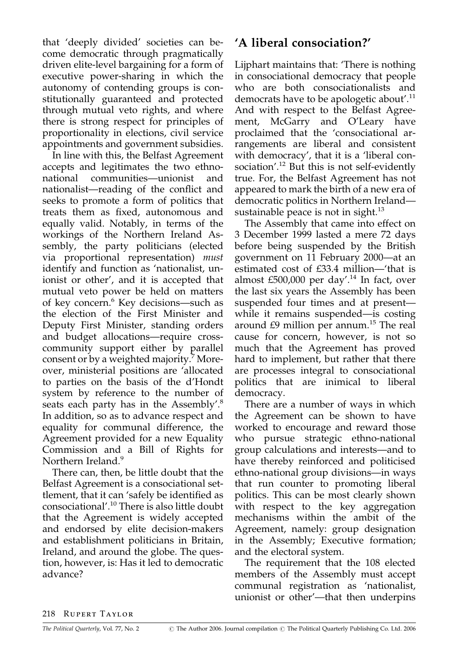that 'deeply divided' societies can become democratic through pragmatically driven elite-level bargaining for a form of executive power-sharing in which the autonomy of contending groups is constitutionally guaranteed and protected through mutual veto rights, and where there is strong respect for principles of proportionality in elections, civil service appointments and government subsidies.

In line with this, the Belfast Agreement accepts and legitimates the two ethnocommunities—unionist national and nationalist—reading of the conflict and seeks to promote a form of politics that treats them as fixed, autonomous and equally valid. Notably, in terms of the workings of the Northern Ireland Assembly, the party politicians (elected via proportional representation) must identify and function as 'nationalist, unionist or other', and it is accepted that mutual veto power be held on matters of key concern.<sup>6</sup> Key decisions-such as the election of the First Minister and Deputy First Minister, standing orders and budget allocations—require crosscommunity support either by parallel consent or by a weighted majority.<sup>7</sup> Moreover, ministerial positions are 'allocated to parties on the basis of the d'Hondt system by reference to the number of seats each party has in the Assembly'.<sup>8</sup> In addition, so as to advance respect and equality for communal difference, the Agreement provided for a new Equality Commission and a Bill of Rights for Northern Ireland.<sup>9</sup>

There can, then, be little doubt that the Belfast Agreement is a consociational settlement, that it can 'safely be identified as consociational'.<sup>10</sup> There is also little doubt that the Agreement is widely accepted and endorsed by elite decision-makers and establishment politicians in Britain, Ireland, and around the globe. The question, however, is: Has it led to democratic advance?

# 'A liberal consociation?'

Lijphart maintains that: 'There is nothing in consociational democracy that people who are both consociationalists and democrats have to be apologetic about'.<sup>11</sup> And with respect to the Belfast Agreement, McGarry and O'Leary have proclaimed that the 'consociational arrangements are liberal and consistent with democracy', that it is a 'liberal consociation'.<sup>12</sup> But this is not self-evidently true. For, the Belfast Agreement has not appeared to mark the birth of a new era of democratic politics in Northern Ireland sustainable peace is not in sight. $^{13}$ 

The Assembly that came into effect on 3 December 1999 lasted a mere 72 days before being suspended by the British government on 11 February 2000—at an estimated cost of £33.4 million—'that is almost £500,000 per day'.<sup>14</sup> In fact, over the last six years the Assembly has been suspended four times and at presentwhile it remains suspended—is costing around £9 million per annum.<sup>15</sup> The real cause for concern, however, is not so much that the Agreement has proved hard to implement, but rather that there are processes integral to consociational politics that are inimical to liberal democracy.

There are a number of ways in which the Agreement can be shown to have worked to encourage and reward those who pursue strategic ethno-national group calculations and interests—and to have thereby reinforced and politicised ethno-national group divisions—in ways that run counter to promoting liberal politics. This can be most clearly shown with respect to the key aggregation mechanisms within the ambit of the Agreement, namely: group designation in the Assembly; Executive formation; and the electoral system.

The requirement that the 108 elected members of the Assembly must accept communal registration as 'nationalist, unionist or other'-that then underpins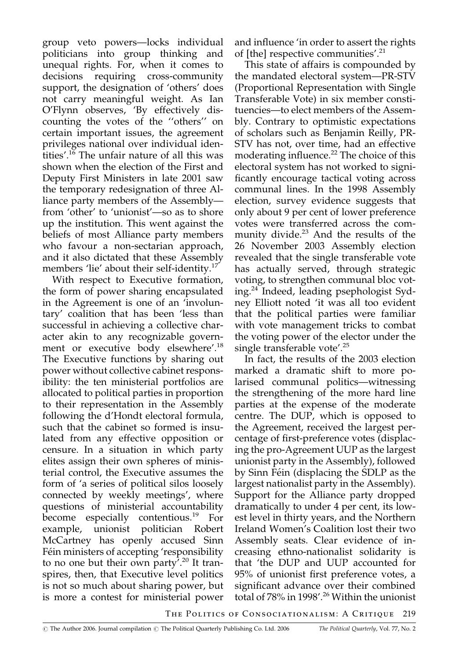group veto powers—locks individual politicians into group thinking and unequal rights. For, when it comes to decisions requiring cross-community support, the designation of 'others' does not carry meaningful weight. As Ian O'Flynn observes, 'By effectively discounting the votes of the "others" on certain important issues, the agreement privileges national over individual identities'.<sup>16</sup> The unfair nature of all this was shown when the election of the First and Deputy First Ministers in late 2001 saw the temporary redesignation of three Alliance party members of the Assembly from 'other' to 'unionist'—so as to shore up the institution. This went against the beliefs of most Alliance party members who favour a non-sectarian approach, and it also dictated that these Assembly members 'lie' about their self-identity.<sup>17</sup>

With respect to Executive formation, the form of power sharing encapsulated in the Agreement is one of an 'involuntary' coalition that has been 'less than successful in achieving a collective character akin to any recognizable government or executive body elsewhere'.<sup>18</sup> The Executive functions by sharing out power without collective cabinet responsibility: the ten ministerial portfolios are allocated to political parties in proportion to their representation in the Assembly following the d'Hondt electoral formula, such that the cabinet so formed is insulated from any effective opposition or censure. In a situation in which party elites assign their own spheres of ministerial control, the Executive assumes the form of 'a series of political silos loosely connected by weekly meetings', where questions of ministerial accountability become especially contentious.<sup>19</sup> For example, unionist politician Robert McCartney has openly accused Sinn Féin ministers of accepting 'responsibility to no one but their own party'.<sup>20</sup> It transpires, then, that Executive level politics is not so much about sharing power, but is more a contest for ministerial power

and influence 'in order to assert the rights of [the] respective communities'.<sup>21</sup>

This state of affairs is compounded by the mandated electoral system—PR-STV (Proportional Representation with Single) Transferable Vote) in six member constituencies—to elect members of the Assembly. Contrary to optimistic expectations of scholars such as Benjamin Reilly, PR-STV has not, over time, had an effective moderating influence.<sup>22</sup> The choice of this electoral system has not worked to significantly encourage tactical voting across communal lines. In the 1998 Assembly election, survey evidence suggests that only about 9 per cent of lower preference votes were transferred across the community divide.<sup>23</sup> And the results of the 26 November 2003 Assembly election revealed that the single transferable vote has actually served, through strategic voting, to strengthen communal bloc voting.<sup>24</sup> Indeed, leading psephologist Sydney Elliott noted 'it was all too evident that the political parties were familiar with vote management tricks to combat the voting power of the elector under the single transferable vote'.<sup>25</sup>

In fact, the results of the 2003 election marked a dramatic shift to more polarised communal politics-witnessing the strengthening of the more hard line parties at the expense of the moderate centre. The DUP, which is opposed to the Agreement, received the largest percentage of first-preference votes (displacing the pro-Agreement UUP as the largest unionist party in the Assembly), followed by Sinn Féin (displacing the SDLP as the largest nationalist party in the Assembly). Support for the Alliance party dropped dramatically to under 4 per cent, its lowest level in thirty years, and the Northern Ireland Women's Coalition lost their two Assembly seats. Clear evidence of increasing ethno-nationalist solidarity is that 'the DUP and UUP accounted for 95% of unionist first preference votes, a significant advance over their combined total of 78% in 1998'.<sup>26</sup> Within the unionist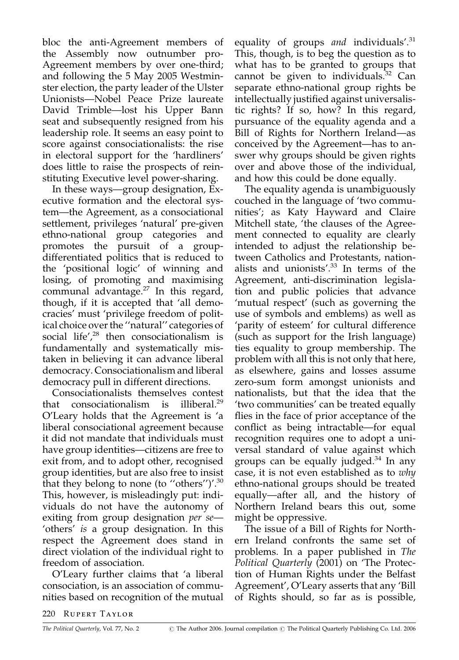bloc the anti-Agreement members of the Assembly now outnumber pro-Agreement members by over one-third; and following the 5 May 2005 Westminster election, the party leader of the Ulster Unionists-Nobel Peace Prize laureate David Trimble—lost his Upper Bann seat and subsequently resigned from his leadership role. It seems an easy point to score against consociationalists: the rise in electoral support for the 'hardliners' does little to raise the prospects of reinstituting Executive level power-sharing.

In these ways—group designation, Executive formation and the electoral system—the Agreement, as a consociational settlement, privileges 'natural' pre-given ethno-national group categories and promotes the pursuit of a groupdifferentiated politics that is reduced to the 'positional logic' of winning and losing, of promoting and maximising communal advantage. $27$  In this regard, though, if it is accepted that 'all democracies' must 'privilege freedom of political choice over the "natural" categories of social life', $28$  then consociationalism is fundamentally and systematically mistaken in believing it can advance liberal democracy. Consociationalism and liberal democracy pull in different directions.

Consociationalists themselves contest illiberal.<sup>29</sup> consociationalism is that O'Leary holds that the Agreement is 'a liberal consociational agreement because it did not mandate that individuals must have group identities-citizens are free to exit from, and to adopt other, recognised group identities, but are also free to insist that they belong to none (to "others")'.<sup>30</sup> This, however, is misleadingly put: individuals do not have the autonomy of exiting from group designation *per se*— 'others' is a group designation. In this respect the Agreement does stand in direct violation of the individual right to freedom of association.

O'Leary further claims that 'a liberal consociation, is an association of communities based on recognition of the mutual equality of groups and individuals'. $31$ This, though, is to beg the question as to what has to be granted to groups that cannot be given to individuals.<sup>32</sup> Can separate ethno-national group rights be intellectually justified against universalistic rights? If so, how? In this regard, pursuance of the equality agenda and a Bill of Rights for Northern Ireland—as conceived by the Agreement—has to answer why groups should be given rights over and above those of the individual, and how this could be done equally.

The equality agenda is unambiguously couched in the language of 'two communities'; as Katy Hayward and Claire Mitchell state, 'the clauses of the Agreement connected to equality are clearly intended to adjust the relationship between Catholics and Protestants, nationalists and unionists'.<sup>33</sup> In terms of the Agreement, anti-discrimination legislation and public policies that advance 'mutual respect' (such as governing the use of symbols and emblems) as well as 'parity of esteem' for cultural difference (such as support for the Irish language) ties equality to group membership. The problem with all this is not only that here, as elsewhere, gains and losses assume zero-sum form amongst unionists and nationalists, but that the idea that the 'two communities' can be treated equally flies in the face of prior acceptance of the conflict as being intractable—for equal recognition requires one to adopt a universal standard of value against which groups can be equally judged. $34$  In any case, it is not even established as to why ethno-national groups should be treated equally-after all, and the history of Northern Ireland bears this out, some might be oppressive.

The issue of a Bill of Rights for Northern Ireland confronts the same set of problems. In a paper published in The Political Quarterly (2001) on 'The Protection of Human Rights under the Belfast Agreement', O'Leary asserts that any 'Bill of Rights should, so far as is possible,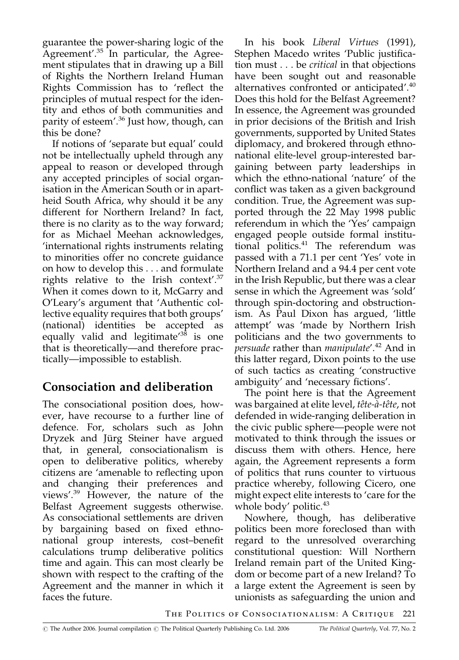guarantee the power-sharing logic of the Agreement'.<sup>35</sup> In particular, the Agreement stipulates that in drawing up a Bill of Rights the Northern Ireland Human Rights Commission has to 'reflect the principles of mutual respect for the identity and ethos of both communities and parity of esteem'.<sup>36</sup> Just how, though, can this be done?

If notions of 'separate but equal' could not be intellectually upheld through any appeal to reason or developed through any accepted principles of social organisation in the American South or in apartheid South Africa, why should it be any different for Northern Ireland? In fact, there is no clarity as to the way forward; for as Michael Meehan acknowledges, 'international rights instruments relating to minorities offer no concrete guidance on how to develop this . . . and formulate rights relative to the Irish context'.<sup>37</sup> When it comes down to it, McGarry and O'Leary's argument that 'Authentic collective equality requires that both groups' (national) identities be accepted as equally valid and legitimate<sup>138</sup> is one that is theoretically—and therefore practically—impossible to establish.

# Consociation and deliberation

The consociational position does, however, have recourse to a further line of defence. For, scholars such as John Dryzek and Jürg Steiner have argued that, in general, consociationalism is open to deliberative politics, whereby citizens are 'amenable to reflecting upon and changing their preferences and views'.<sup>39</sup> However, the nature of the Belfast Agreement suggests otherwise. As consociational settlements are driven by bargaining based on fixed ethnonational group interests, cost-benefit calculations trump deliberative politics time and again. This can most clearly be shown with respect to the crafting of the Agreement and the manner in which it faces the future.

In his book Liberal Virtues (1991), Stephen Macedo writes 'Public justification must . . . be *critical* in that objections have been sought out and reasonable alternatives confronted or anticipated'.<sup>40</sup> Does this hold for the Belfast Agreement? In essence, the Agreement was grounded in prior decisions of the British and Irish governments, supported by United States diplomacy, and brokered through ethnonational elite-level group-interested bargaining between party leaderships in which the ethno-national 'nature' of the conflict was taken as a given background condition. True, the Agreement was supported through the 22 May 1998 public referendum in which the 'Yes' campaign engaged people outside formal institutional politics.<sup>41</sup> The referendum was passed with a 71.1 per cent 'Yes' vote in Northern Ireland and a 94.4 per cent vote in the Irish Republic, but there was a clear sense in which the Agreement was 'sold' through spin-doctoring and obstructionism. As Paul Dixon has argued, 'little attempt' was 'made by Northern Irish politicians and the two governments to *persuade* rather than *manipulate'*.<sup>42</sup> And in this latter regard, Dixon points to the use of such tactics as creating 'constructive ambiguity' and 'necessary fictions'.

The point here is that the Agreement was bargained at elite level, tête-à-tête, not defended in wide-ranging deliberation in the civic public sphere—people were not motivated to think through the issues or discuss them with others. Hence, here again, the Agreement represents a form of politics that runs counter to virtuous practice whereby, following Cicero, one might expect elite interests to 'care for the whole body' politic.<sup>43</sup>

Nowhere, though, has deliberative politics been more foreclosed than with regard to the unresolved overarching constitutional question: Will Northern Ireland remain part of the United Kingdom or become part of a new Ireland? To a large extent the Agreement is seen by unionists as safeguarding the union and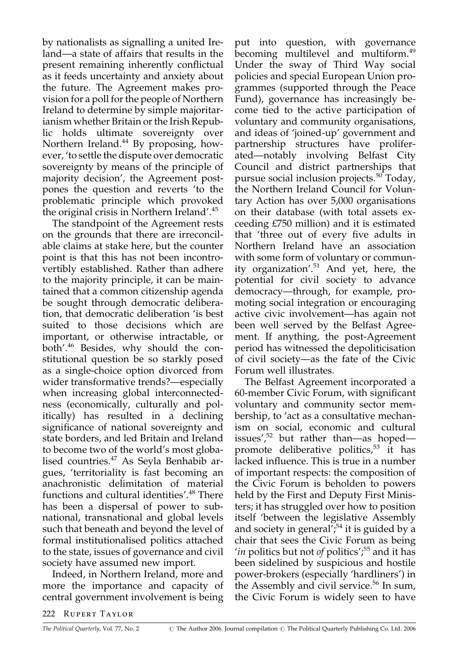by nationalists as signalling a united Ireland—a state of affairs that results in the present remaining inherently conflictual as it feeds uncertainty and anxiety about the future. The Agreement makes provision for a poll for the people of Northern Ireland to determine by simple majoritarianism whether Britain or the Irish Republic holds ultimate sovereignty over Northern Ireland.<sup>44</sup> By proposing, however, 'to settle the dispute over democratic sovereignty by means of the principle of majority decision', the Agreement postpones the question and reverts 'to the problematic principle which provoked the original crisis in Northern Ireland'.<sup>45</sup>

The standpoint of the Agreement rests on the grounds that there are irreconcilable claims at stake here, but the counter point is that this has not been incontrovertibly established. Rather than adhere to the majority principle, it can be maintained that a common citizenship agenda be sought through democratic deliberation, that democratic deliberation 'is best suited to those decisions which are important, or otherwise intractable, or both'.<sup>46</sup> Besides, why should the constitutional question be so starkly posed as a single-choice option divorced from wider transformative trends?—especially when increasing global interconnectedness (economically, culturally and politically) has resulted in a declining significance of national sovereignty and state borders, and led Britain and Ireland to become two of the world's most globalised countries.<sup>47</sup> As Seyla Benhabib argues, 'territoriality is fast becoming an anachronistic delimitation of material functions and cultural identities'.<sup>48</sup> There has been a dispersal of power to subnational, transnational and global levels such that beneath and beyond the level of formal institutionalised politics attached to the state, issues of governance and civil society have assumed new import.

Indeed, in Northern Ireland, more and more the importance and capacity of central government involvement is being put into question, with governance becoming multilevel and multiform.<sup>49</sup> Under the sway of Third Way social policies and special European Union programmes (supported through the Peace Fund), governance has increasingly become tied to the active participation of voluntary and community organisations, and ideas of 'joined-up' government and partnership structures have proliferated—notably involving Belfast City Council and district partnerships that pursue social inclusion projects.<sup>50</sup> Today, the Northern Ireland Council for Voluntary Action has over 5,000 organisations on their database (with total assets exceeding £750 million) and it is estimated that 'three out of every five adults in Northern Ireland have an association with some form of voluntary or community organization'.<sup>51</sup> And yet, here, the potential for civil society to advance democracy—through, for example, promoting social integration or encouraging active civic involvement-has again not been well served by the Belfast Agreement. If anything, the post-Agreement period has witnessed the depoliticisation of civil society—as the fate of the Civic Forum well illustrates.

The Belfast Agreement incorporated a 60-member Civic Forum, with significant voluntary and community sector membership, to 'act as a consultative mechanism on social, economic and cultural issues', $52$  but rather than—as hoped promote deliberative politics,<sup>53</sup> it has lacked influence. This is true in a number of important respects: the composition of the Civic Forum is beholden to powers held by the First and Deputy First Ministers; it has struggled over how to position itself 'between the legislative Assembly and society in general';<sup>54</sup> it is guided by a chair that sees the Civic Forum as being 'in politics but not of politics',<sup>55</sup> and it has been sidelined by suspicious and hostile power-brokers (especially 'hardliners') in the Assembly and civil service.<sup>56</sup> In sum, the Civic Forum is widely seen to have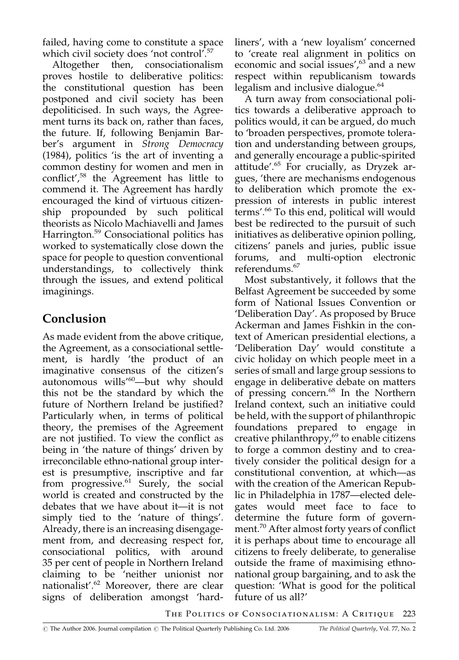failed, having come to constitute a space which civil society does 'not control'.<sup>57</sup>

consociationalism Altogether then, proves hostile to deliberative politics: the constitutional question has been postponed and civil society has been depoliticised. In such ways, the Agreement turns its back on, rather than faces, the future. If, following Benjamin Barber's argument in Strong Democracy  $(1984)$ , politics 'is the art of inventing a common destiny for women and men in conflict',<sup>58</sup> the Agreement has little to commend it. The Agreement has hardly encouraged the kind of virtuous citizenship propounded by such political theorists as Nicolo Machiavelli and James Harrington.<sup>59</sup> Consociational politics has worked to systematically close down the space for people to question conventional understandings, to collectively think through the issues, and extend political imaginings.

# Conclusion

As made evident from the above critique, the Agreement, as a consociational settlement, is hardly 'the product of an imaginative consensus of the citizen's autonomous wills<sup>60</sup>-but why should this not be the standard by which the future of Northern Ireland be justified? Particularly when, in terms of political theory, the premises of the Agreement are not justified. To view the conflict as being in 'the nature of things' driven by irreconcilable ethno-national group interest is presumptive, inscriptive and far from progressive.<sup>61</sup> Surely, the social world is created and constructed by the debates that we have about it-it is not simply tied to the 'nature of things'. Already, there is an increasing disengagement from, and decreasing respect for, consociational politics, with around 35 per cent of people in Northern Ireland claiming to be 'neither unionist nor nationalist'.<sup>62</sup> Moreover, there are clear signs of deliberation amongst 'hardliners', with a 'new loyalism' concerned to 'create real alignment in politics on economic and social issues',<sup>63</sup> and a new respect within republicanism towards legalism and inclusive dialogue.<sup>64</sup>

A turn away from consociational politics towards a deliberative approach to politics would, it can be argued, do much to 'broaden perspectives, promote toleration and understanding between groups, and generally encourage a public-spirited attitude'.<sup>65</sup> For crucially, as Dryzek argues, 'there are mechanisms endogenous to deliberation which promote the expression of interests in public interest terms'.<sup>66</sup> To this end, political will would best be redirected to the pursuit of such initiatives as deliberative opinion polling, citizens' panels and juries, public issue forums, and multi-option electronic referendums.<sup>67</sup>

Most substantively, it follows that the Belfast Agreement be succeeded by some form of National Issues Convention or 'Deliberation Day'. As proposed by Bruce Ackerman and James Fishkin in the context of American presidential elections, a 'Deliberation Day' would constitute a civic holiday on which people meet in a series of small and large group sessions to engage in deliberative debate on matters of pressing concern.<sup>68</sup> In the Northern Ireland context, such an initiative could be held, with the support of philanthropic foundations prepared to engage in creative philanthropy,<sup>69</sup> to enable citizens to forge a common destiny and to creatively consider the political design for a constitutional convention, at which—as with the creation of the American Republic in Philadelphia in 1787-elected delegates would meet face to face to determine the future form of government.<sup>70</sup> After almost forty years of conflict it is perhaps about time to encourage all citizens to freely deliberate, to generalise outside the frame of maximising ethnonational group bargaining, and to ask the question: 'What is good for the political future of us all?'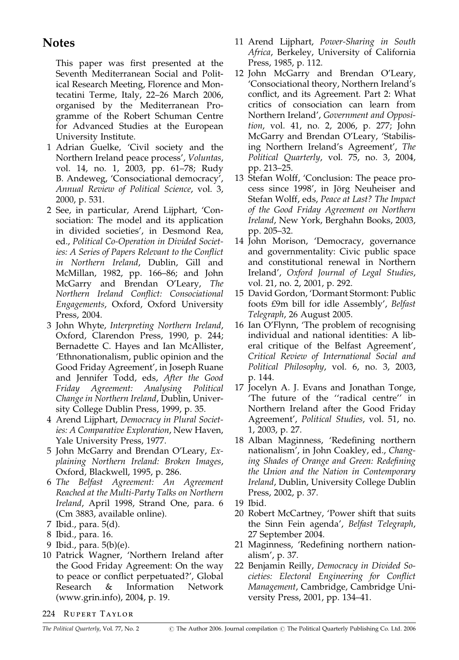#### **Notes**

This paper was first presented at the Seventh Mediterranean Social and Political Research Meeting, Florence and Montecatini Terme, Italy, 22-26 March 2006, organised by the Mediterranean Programme of the Robert Schuman Centre for Advanced Studies at the European University Institute.

- 1 Adrian Guelke, 'Civil society and the Northern Ireland peace process', Voluntas, vol. 14, no. 1, 2003, pp. 61-78; Rudy B. Andeweg, 'Consociational democracy', Annual Review of Political Science, vol. 3, 2000, p. 531.
- 2 See, in particular, Arend Lijphart, 'Consociation: The model and its application in divided societies', in Desmond Rea, ed., Political Co-Operation in Divided Societies: A Series of Papers Relevant to the Conflict in Northern Ireland, Dublin, Gill and McMillan, 1982, pp. 166-86; and John McGarry and Brendan O'Leary, The Northern Ireland Conflict: Consociational Engagements, Oxford, Oxford University Press, 2004.
- 3 John Whyte, Interpreting Northern Ireland, Oxford, Clarendon Press, 1990, p. 244; Bernadette C. Hayes and Ian McAllister, 'Ethnonationalism, public opinion and the Good Friday Agreement', in Joseph Ruane and Jennifer Todd, eds, After the Good Friday Agreement: Analysing Political Change in Northern Ireland, Dublin, University College Dublin Press, 1999, p. 35.
- 4 Arend Lijphart, Democracy in Plural Societies: A Comparative Exploration, New Haven, Yale University Press, 1977.
- 5 John McGarry and Brendan O'Leary, Explaining Northern Ireland: Broken Images, Oxford, Blackwell, 1995, p. 286.
- 6 The Belfast Agreement: An Agreement Reached at the Multi-Party Talks on Northern Ireland, April 1998, Strand One, para. 6 (Cm 3883, available online).
- 7 Ibid., para. 5(d).
- 8 Ibid., para. 16.
- 9 Ibid., para. 5(b)(e).
- 10 Patrick Wagner, 'Northern Ireland after the Good Friday Agreement: On the way to peace or conflict perpetuated?', Global Research & Information Network (www.grin.info), 2004, p. 19.
- 11 Arend Lijphart, Power-Sharing in South Africa, Berkeley, University of California Press, 1985, p. 112.
- 12 John McGarry and Brendan O'Leary, 'Consociational theory, Northern Ireland's conflict, and its Agreement. Part 2: What critics of consociation can learn from Northern Ireland', Government and Opposition, vol. 41, no. 2, 2006, p. 277; John McGarry and Brendan O'Leary, 'Stabilising Northern Ireland's Agreement', The Political Quarterly, vol. 75, no. 3, 2004, pp. 213-25.
- 13 Stefan Wolff, 'Conclusion: The peace process since 1998', in Jörg Neuheiser and Stefan Wolff, eds, Peace at Last? The Impact of the Good Friday Agreement on Northern Ireland, New York, Berghahn Books, 2003, pp. 205-32.
- 14 John Morison, 'Democracy, governance and governmentality: Civic public space and constitutional renewal in Northern Ireland', Oxford Journal of Legal Studies, vol. 21, no. 2, 2001, p. 292.
- 15 David Gordon, 'Dormant Stormont: Public foots £9m bill for idle Assembly', Belfast Telegraph, 26 August 2005.
- 16 Ian O'Flynn, 'The problem of recognising individual and national identities: A liberal critique of the Belfast Agreement', Critical Review of International Social and Political Philosophy, vol. 6, no. 3, 2003, p. 144.
- 17 Jocelyn A. J. Evans and Jonathan Tonge, 'The future of the "radical centre" in Northern Ireland after the Good Friday Agreement', Political Studies, vol. 51, no. 1, 2003, p. 27.
- 18 Alban Maginness, 'Redefining northern nationalism', in John Coakley, ed., Changing Shades of Orange and Green: Redefining the Union and the Nation in Contemporary *Ireland, Dublin, University College Dublin* Press, 2002, p. 37.
- 19 Ibid.
- 20 Robert McCartney, 'Power shift that suits the Sinn Fein agenda', Belfast Telegraph, 27 September 2004.
- 21 Maginness, 'Redefining northern nationalism', p. 37.
- 22 Benjamin Reilly, Democracy in Divided Societies: Electoral Engineering for Conflict Management, Cambridge, Cambridge University Press, 2001, pp. 134–41.

224 RUPERT TAYLOR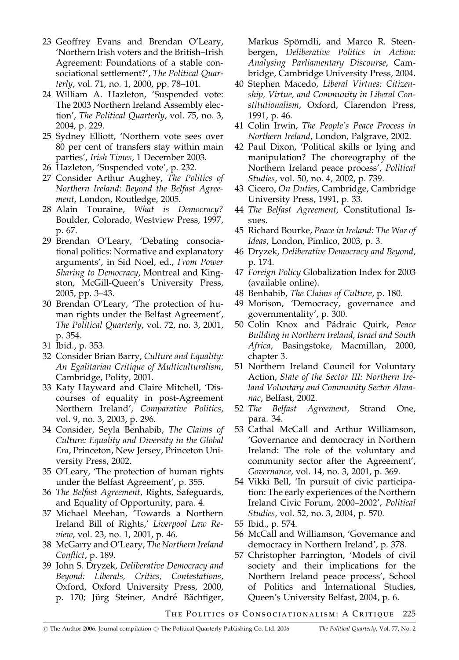- 23 Geoffrey Evans and Brendan O'Leary, 'Northern Irish voters and the British-Irish Agreement: Foundations of a stable consociational settlement?', The Political Quarterly, vol. 71, no. 1, 2000, pp. 78–101.
- 24 William A. Hazleton, 'Suspended vote: The 2003 Northern Ireland Assembly election', The Political Quarterly, vol. 75, no. 3, 2004, p. 229.
- 25 Sydney Elliott, 'Northern vote sees over 80 per cent of transfers stay within main parties', Irish Times, 1 December 2003.
- 26 Hazleton, 'Suspended vote', p. 232.
- 27 Consider Arthur Aughey, The Politics of Northern Ireland: Beyond the Belfast Agreement, London, Routledge, 2005.
- 28 Alain Touraine, What is Democracy? Boulder, Colorado, Westview Press, 1997, p. 67.
- 29 Brendan O'Leary, 'Debating consociational politics: Normative and explanatory arguments', in Sid Noel, ed., From Power Sharing to Democracy, Montreal and Kingston, McGill-Queen's University Press, 2005, pp. 3-43.
- 30 Brendan O'Leary, 'The protection of human rights under the Belfast Agreement', The Political Quarterly, vol. 72, no. 3, 2001, p. 354.
- 31 Ibid., p. 353.
- 32 Consider Brian Barry, Culture and Equality: An Egalitarian Critique of Multiculturalism, Cambridge, Polity, 2001.
- 33 Katy Hayward and Claire Mitchell, 'Discourses of equality in post-Agreement Northern Ireland', Comparative Politics, vol. 9, no. 3, 2003, p. 296.
- 34 Consider, Seyla Benhabib, The Claims of Culture: Equality and Diversity in the Global Era, Princeton, New Jersey, Princeton University Press, 2002.
- 35 O'Leary, 'The protection of human rights under the Belfast Agreement', p. 355.
- 36 The Belfast Agreement, Rights, Safeguards, and Equality of Opportunity, para. 4.
- 37 Michael Meehan, Towards a Northern Ireland Bill of Rights,' Liverpool Law Review, vol. 23, no. 1, 2001, p. 46.
- 38 McGarry and O'Leary, The Northern Ireland Conflict, p. 189.
- 39 John S. Dryzek, Deliberative Democracy and Beyond: Liberals, Critics, Contestations, Oxford, Oxford University Press, 2000, p. 170; Jürg Steiner, André Bächtiger,

Markus Spörndli, and Marco R. Steenbergen, Deliberative Politics in Action: Analysing Parliamentary Discourse, Cambridge, Cambridge University Press, 2004.

- 40 Stephen Macedo, Liberal Virtues: Citizenship, Virtue, and Community in Liberal Constitutionalism, Oxford, Clarendon Press, 1991, p. 46.
- 41 Colin Irwin, The People's Peace Process in Northern Ireland, London, Palgrave, 2002.
- 42 Paul Dixon, 'Political skills or lying and manipulation? The choreography of the Northern Ireland peace process', Political Studies, vol. 50, no. 4, 2002, p. 739.
- 43 Cicero, On Duties, Cambridge, Cambridge University Press, 1991, p. 33.
- 44 The Belfast Agreement, Constitutional Issues.
- 45 Richard Bourke, Peace in Ireland: The War of Ideas, London, Pimlico, 2003, p. 3.
- 46 Dryzek, Deliberative Democracy and Beyond, p. 174.
- 47 Foreign Policy Globalization Index for 2003 (available online).
- 48 Benhabib, The Claims of Culture, p. 180.
- 49 Morison, 'Democracy, governance and governmentality', p. 300.
- 50 Colin Knox and Pádraic Quirk, Peace Building in Northern Ireland, Israel and South Africa, Basingstoke, Macmillan, 2000, chapter 3.
- 51 Northern Ireland Council for Voluntary Action, State of the Sector III: Northern Ireland Voluntary and Community Sector Almanac, Belfast, 2002.
- 52 The Belfast Agreement, Strand One, para. 34.
- 53 Cathal McCall and Arthur Williamson, 'Governance and democracy in Northern Ireland: The role of the voluntary and community sector after the Agreement', Governance, vol. 14, no. 3, 2001, p. 369.
- 54 Vikki Bell, 'In pursuit of civic participation: The early experiences of the Northern Ireland Civic Forum, 2000-2002', Political Studies, vol. 52, no. 3, 2004, p. 570.
- 55 Ibid., p. 574.
- 56 McCall and Williamson, 'Governance and democracy in Northern Ireland', p. 378.
- 57 Christopher Farrington, 'Models of civil society and their implications for the Northern Ireland peace process', School of Politics and International Studies, Queen's University Belfast, 2004, p. 6.